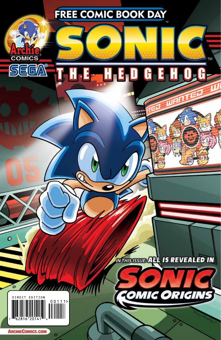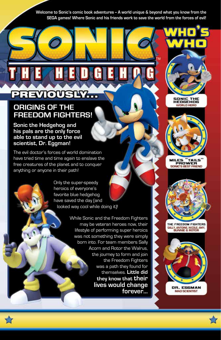Welcome to Sonic's comic book adventures - A world unique & beyond what you know from the **SEGA games! Where Sonic and his friends work to save the world from the forces of evil!**

# **PREVIOUSLY…**

## **ORIGINS OF THE FREEDOM FIGHTERS!**

**Sonic the Hedgehog and his pals are the only force able to stand up to the evil scientist, Dr. Eggman!**

The evil doctor's forces of world domination have tried time and time again to enslave the free creatures of the planet and to conquer anything or anyone in their path!

> Only the super-speedy heroics of everyone's favorite blue hedgehog have saved the day (and looked way cool while doing it)!

> > While Sonic and the Freedom Fighters may be veteran heroes now, their lifestyle of performing super heroics was not something they were simply born into. For team members Sally Acorn and Rotor the Walrus, the journey to form and join the Freedom Fighters was a path they found for themselves. **Little did they know that their lives would change forever...**





**WORLD HERO** 

**MILES** "TAILS PROWER SONIC'S BEST FRIEND



THE FREEDOM FIGHTERS SALLY, ANTOINE, NICOLE, AMY,<br>BUNNIE & ROTOR



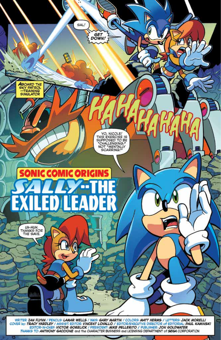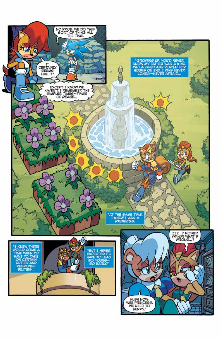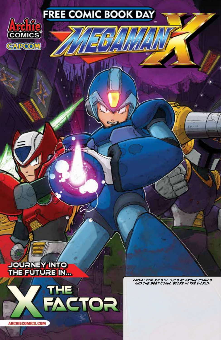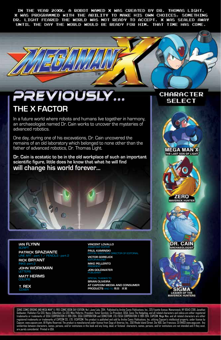IN THE YEAR 20XX, A ROBOT NAMED X WAS CREATED BY DR. THOMAS LIGHT. X WAS PROGRAMMED WITH THE ABILITY TO MAKE HIS OWN CHOICES, SOMETHING DR. LIGHT FEARED THE WORLD WAS NOT READY TO ACCEPT. X WAS SEALED AWAY UNTIL THE DAY THE WORLD WOULD BE READY FOR HIM. THAT TIME HAS COME.

# PREVIOUSLY **THE X FACTOR**

In a future world where robots and humans live together in harmony, an archaeologist named Dr. Cain works to uncover the mysteries of advanced robotics.

One day, during one of his excavations, Dr. Cain uncovered the remains of an old laboratory which belonged to none other than the father of advanced robotics, Dr. Thomas Light.

**Dr. Cain is ecstatic to be in the old workplace of such an important scientific figure, little does he know that what he will find will change his world forever...**

#### **IAN FLYNN** SCRIPT

**PATRICK SPAZIANTE** LINE ART - part 1 / PENCILS - part 2

**RICK BRYANT** INKS -part 2 **JOHN WORKMAN**

LETTERS **MATT HERMS** COLORS

**T. REX COVER** 

#### **VINCENT LOVALLO** ASSISTANT EDITOR **PAUL KAMINSKI**

DIRECTOR OF EDITORIAL **VICTOR GORELICK**

EDITOR-IN-CHIEF **MIKE PELLERITO** PRESIDENT

**JON GOLDWATER** PUBLISHER

SPECIAL THANKS TO **BRIAN OLIVEIRA AT CAPCOM MEDIA AND CONSUMER PRODUCTS** AND TO 飛田 栄実

## **CHARACTER SELECT**



**MEGA MANX** THE LAST SON OF LIGHT







SONC COMC ORIGINS AND MEGA MAN" X, FREE COMC BOOK DAY EDITION. No 1, June/July, 2014. Published by Archie Comic Publications. Inc., 325 Fayette Avenue, Mamaroneck, NY 10543-2318. Jonathan<br>trademarks or trademarks of SEGA C similarities between characters, names, persons, and/or institutions in this book and any living, dead, or fictional characters, names, persons, and/or institutions are not intended and if they exist,<br>are purely coinciden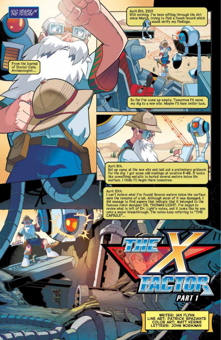**TOO YEARS IN** 

From the Journal<br>of Doctor Cain, Archaeologist...

April 8th. 21XX Still nothing. I've been sifting through the dirt<br>since March. trying to find a fossil record which<br>would verify my findings.

So far I've come up empty. Tomorrow I'll move<br>my dig to a new site. Maybe I'll have better luck.

April 9th.<br>Set up camp at the new site and laid out a preliminary gridwork<br>for the dig. I got some odd readings at location E-46. It looks<br>like something metallic is buried several meters below the<br>surface. I think I'll be

### April 10th.

**MANIFERENCE** 

- 08 allm

I can't believe what I've found! Several meters below the surface For the remains of a lab. Although most of it was damaged, I<br>did manage to find papers that indicate that it belonged to the<br>famous robot designer DR. THOMAS LIGHT. I've begun to<br>review what is left of Dr. Light's notes, a CAPSULE"...



PART